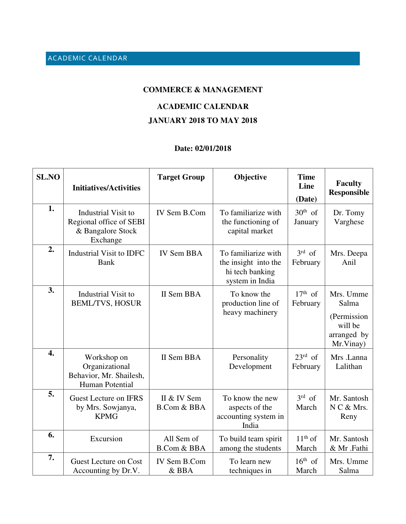## **COMMERCE & MANAGEMENT**

## **ACADEMIC CALENDAR**

## **JANUARY 2018 TO MAY 2018**

## **Date: 02/01/2018**

| <b>SL.NO</b>     | <b>Initiatives/Activities</b>                                                      | <b>Target Group</b>                   | Objective                                                                         | <b>Time</b><br>Line<br>(Date)   | <b>Faculty</b><br><b>Responsible</b>                                     |
|------------------|------------------------------------------------------------------------------------|---------------------------------------|-----------------------------------------------------------------------------------|---------------------------------|--------------------------------------------------------------------------|
| 1.               | Industrial Visit to<br>Regional office of SEBI<br>& Bangalore Stock<br>Exchange    | IV Sem B.Com                          | To familiarize with<br>the functioning of<br>capital market                       | $30th$ of<br>January            | Dr. Tomy<br>Varghese                                                     |
| 2.               | <b>Industrial Visit to IDFC</b><br><b>Bank</b>                                     | <b>IV Sem BBA</b>                     | To familiarize with<br>the insight into the<br>hi tech banking<br>system in India | $3rd$ of<br>February            | Mrs. Deepa<br>Anil                                                       |
| 3.               | Industrial Visit to<br><b>BEML/TVS, HOSUR</b>                                      | II Sem BBA                            | To know the<br>production line of<br>heavy machinery                              | $17th$ of<br>February           | Mrs. Umme<br>Salma<br>(Permission<br>will be<br>arranged by<br>Mr.Vinay) |
| $\overline{4}$ . | Workshop on<br>Organizational<br>Behavior, Mr. Shailesh,<br><b>Human Potential</b> | II Sem BBA                            | Personality<br>Development                                                        | $23^{\text{rd}}$ of<br>February | Mrs .Lanna<br>Lalithan                                                   |
| 5.               | Guest Lecture on IFRS<br>by Mrs. Sowjanya,<br><b>KPMG</b>                          | II & IV Sem<br><b>B.Com &amp; BBA</b> | To know the new<br>aspects of the<br>accounting system in<br>India                | $3rd$ of<br>March               | Mr. Santosh<br>N C & Mrs.<br>Reny                                        |
| 6.               | Excursion                                                                          | All Sem of<br><b>B.Com &amp; BBA</b>  | To build team spirit<br>among the students                                        | $11th$ of<br>March              | Mr. Santosh<br>& Mr .Fathi                                               |
| 7.               | <b>Guest Lecture on Cost</b><br>Accounting by Dr.V.                                | IV Sem B.Com<br>& BBA                 | To learn new<br>techniques in                                                     | $16th$ of<br>March              | Mrs. Umme<br>Salma                                                       |